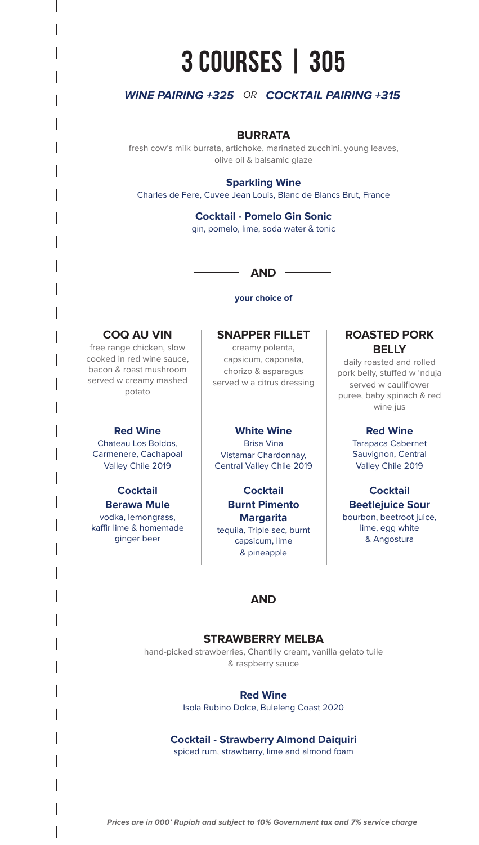# **305 | COURSES 3**

### **WINE PAIRING +325 OR COCKTAIL PAIRING +315**

#### **BURRATA**

fresh cow's milk burrata, artichoke, marinated zucchini, young leaves, olive oil & balsamic glaze

#### **Sparkling Wine**

Charles de Fere, Cuvee Jean Louis, Blanc de Blancs Brut, France

#### **Cocktail - Pomelo Gin Sonic** gin, pomelo, lime, soda water & tonic

#### **AND**

#### **your** choice of

#### **COQ AU VIN**

free range chicken, slow cooked in red wine sauce. bacon & roast mushroom served w creamy mashed potato

#### **Red Wine**

Chateau Los Boldos. Carmenere, Cachapoal Valley Chile 2019

#### **Cocktail Berawa Mule**

vodka, lemongrass, kaffir lime & homemade ginger beer

#### **SNAPPER FILLET**

creamy polenta, capsicum, caponata, chorizo & asparagus served w a citrus dressing

#### **White Wine**

**Brisa Vina** Vistamar Chardonnay, Central Valley Chile 2019

**Cocktail Burnt Pimento Margarita** tequila, Triple sec, burnt capsicum, lime pineapple&

#### **ROASTED PORK BELLY**

daily roasted and rolled pork belly, stuffed w 'nduja served w cauliflower puree, baby spinach & red wine jus

#### **Red Wine**

Tarapaca Cabernet Sauvignon, Central Valley Chile 2019

#### **Cocktail Beetlejuice Sour**

bourbon, beetroot juice, lime, egg white Angostura&

**AND**

#### **STRAWBERRY MELBA**

hand-picked strawberries, Chantilly cream, vanilla gelato tuile & raspberry sauce

#### **Red Wine**

Isola Rubino Dolce, Buleleng Coast 2020

#### **Cocktail - Strawberry Almond Daiquiri**

spiced rum, strawberry, lime and almond foam

Prices are in 000' Rupiah and subject to 10% Government tax and 7% service charge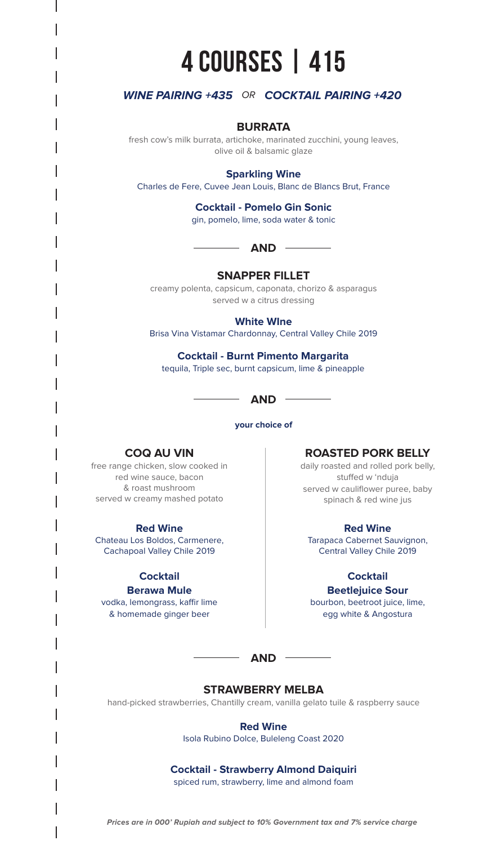# **415 | COURSES 4**

#### **WINE PAIRING +435 OR COCKTAIL PAIRING +420**

#### **BURRATA**

fresh cow's milk burrata, artichoke, marinated zucchini, young leaves, olive oil & balsamic glaze

#### **Sparkling Wine**

Charles de Fere, Cuvee Jean Louis, Blanc de Blancs Brut, France

#### **Cocktail - Pomelo Gin Sonic**

qin, pomelo, lime, soda water & tonic



#### **SNAPPER FILLET**

creamy polenta, capsicum, caponata, chorizo & asparagus served w a citrus dressing

**White Wine** 

Brisa Vina Vistamar Chardonnay, Central Valley Chile 2019

**Cocktail - Burnt Pimento Margarita** tequila, Triple sec, burnt capsicum, lime & pineapple



**your** choice of

#### **COQ AU VIN**

free range chicken, slow cooked in red wine sauce, bacon & roast mushroom served w creamy mashed potato

#### **Wine Red**

Chateau Los Boldos, Carmenere, Cachapoal Valley Chile 2019

#### **Cocktail**

#### **Berawa Mule**

vodka, lemongrass, kaffir lime & homemade ginger beer

**ROASTED PORK BELLY** 

daily roasted and rolled pork belly, stuffed w 'nduja served w cauliflower puree, baby spinach & red wine jus

#### **Wine Red**

Tarapaca Cabernet Sauvignon, Central Valley Chile 2019

#### **Cocktail**

#### **Beetlejuice Sour**

bourbon, beetroot juice, lime, egg white & Angostura

 $-$  AND  $-$ 

#### **STRAWBERRY MELBA**

hand-picked strawberries, Chantilly cream, vanilla gelato tuile & raspberry sauce

#### **Red Wine**

Isola Rubino Dolce, Buleleng Coast 2020

#### **Cocktail - Strawberry Almond Daiquiri**

spiced rum, strawberry, lime and almond foam

Prices are in 000' Rupiah and subject to 10% Government tax and 7% service charge